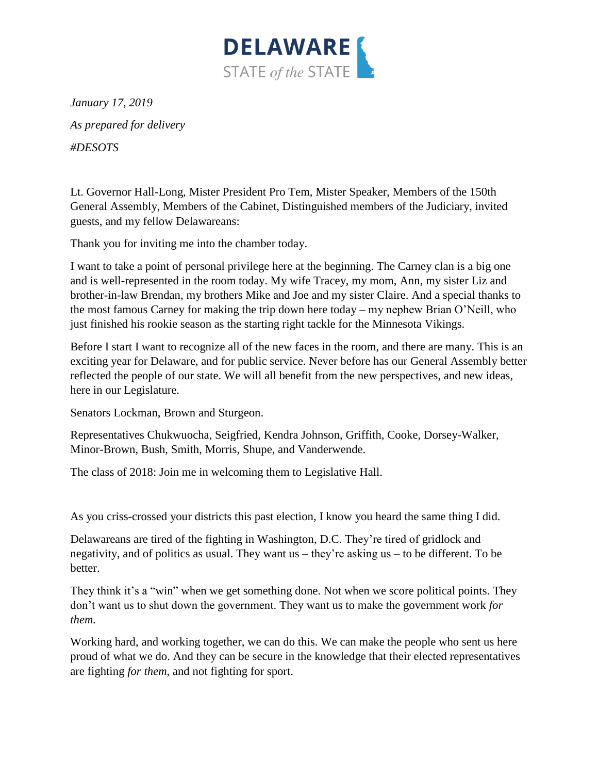

*January 17, 2019 As prepared for delivery #DESOTS*

Lt. Governor Hall-Long, Mister President Pro Tem, Mister Speaker, Members of the 150th General Assembly, Members of the Cabinet, Distinguished members of the Judiciary, invited guests, and my fellow Delawareans:

Thank you for inviting me into the chamber today.

I want to take a point of personal privilege here at the beginning. The Carney clan is a big one and is well-represented in the room today. My wife Tracey, my mom, Ann, my sister Liz and brother-in-law Brendan, my brothers Mike and Joe and my sister Claire. And a special thanks to the most famous Carney for making the trip down here today – my nephew Brian O'Neill, who just finished his rookie season as the starting right tackle for the Minnesota Vikings.

Before I start I want to recognize all of the new faces in the room, and there are many. This is an exciting year for Delaware, and for public service. Never before has our General Assembly better reflected the people of our state. We will all benefit from the new perspectives, and new ideas, here in our Legislature.

Senators Lockman, Brown and Sturgeon.

Representatives Chukwuocha, Seigfried, Kendra Johnson, Griffith, Cooke, Dorsey-Walker, Minor-Brown, Bush, Smith, Morris, Shupe, and Vanderwende.

The class of 2018: Join me in welcoming them to Legislative Hall.

As you criss-crossed your districts this past election, I know you heard the same thing I did.

Delawareans are tired of the fighting in Washington, D.C. They're tired of gridlock and negativity, and of politics as usual. They want us – they're asking us – to be different. To be better.

They think it's a "win" when we get something done. Not when we score political points. They don't want us to shut down the government. They want us to make the government work *for them.* 

Working hard, and working together, we can do this. We can make the people who sent us here proud of what we do. And they can be secure in the knowledge that their elected representatives are fighting *for them*, and not fighting for sport.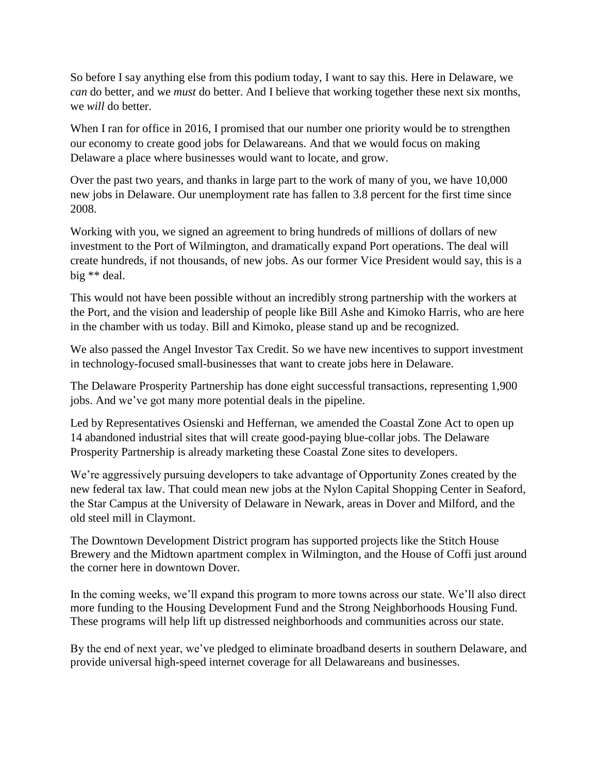So before I say anything else from this podium today, I want to say this. Here in Delaware, we *can* do better, and we *must* do better. And I believe that working together these next six months, we *will* do better.

When I ran for office in 2016, I promised that our number one priority would be to strengthen our economy to create good jobs for Delawareans. And that we would focus on making Delaware a place where businesses would want to locate, and grow.

Over the past two years, and thanks in large part to the work of many of you, we have 10,000 new jobs in Delaware. Our unemployment rate has fallen to 3.8 percent for the first time since 2008.

Working with you, we signed an agreement to bring hundreds of millions of dollars of new investment to the Port of Wilmington, and dramatically expand Port operations. The deal will create hundreds, if not thousands, of new jobs. As our former Vice President would say, this is a big \*\* deal.

This would not have been possible without an incredibly strong partnership with the workers at the Port, and the vision and leadership of people like Bill Ashe and Kimoko Harris, who are here in the chamber with us today. Bill and Kimoko, please stand up and be recognized.

We also passed the Angel Investor Tax Credit. So we have new incentives to support investment in technology-focused small-businesses that want to create jobs here in Delaware.

The Delaware Prosperity Partnership has done eight successful transactions, representing 1,900 jobs. And we've got many more potential deals in the pipeline.

Led by Representatives Osienski and Heffernan, we amended the Coastal Zone Act to open up 14 abandoned industrial sites that will create good-paying blue-collar jobs. The Delaware Prosperity Partnership is already marketing these Coastal Zone sites to developers.

We're aggressively pursuing developers to take advantage of Opportunity Zones created by the new federal tax law. That could mean new jobs at the Nylon Capital Shopping Center in Seaford, the Star Campus at the University of Delaware in Newark, areas in Dover and Milford, and the old steel mill in Claymont.

The Downtown Development District program has supported projects like the Stitch House Brewery and the Midtown apartment complex in Wilmington, and the House of Coffi just around the corner here in downtown Dover.

In the coming weeks, we'll expand this program to more towns across our state. We'll also direct more funding to the Housing Development Fund and the Strong Neighborhoods Housing Fund. These programs will help lift up distressed neighborhoods and communities across our state.

By the end of next year, we've pledged to eliminate broadband deserts in southern Delaware, and provide universal high-speed internet coverage for all Delawareans and businesses.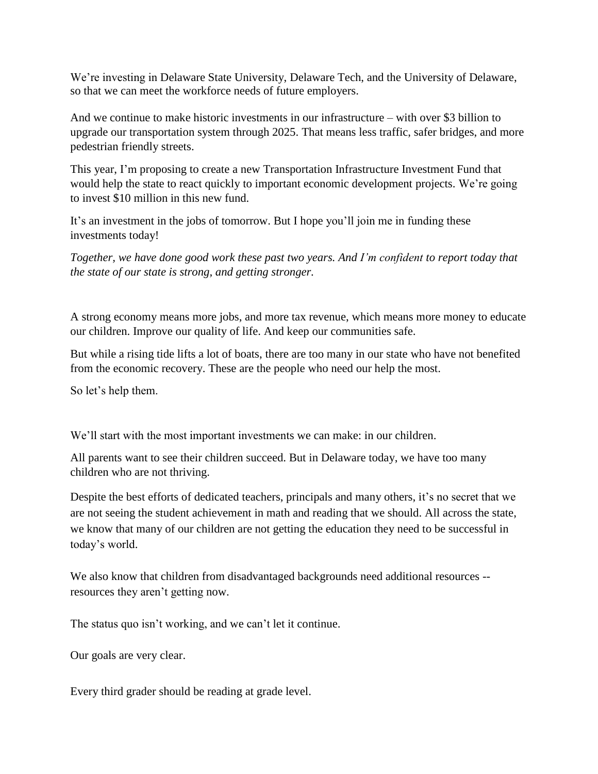We're investing in Delaware State University, Delaware Tech, and the University of Delaware, so that we can meet the workforce needs of future employers.

And we continue to make historic investments in our infrastructure – with over \$3 billion to upgrade our transportation system through 2025. That means less traffic, safer bridges, and more pedestrian friendly streets.

This year, I'm proposing to create a new Transportation Infrastructure Investment Fund that would help the state to react quickly to important economic development projects. We're going to invest \$10 million in this new fund.

It's an investment in the jobs of tomorrow. But I hope you'll join me in funding these investments today!

*Together, we have done good work these past two years. And I'm confident to report today that the state of our state is strong, and getting stronger.*

A strong economy means more jobs, and more tax revenue, which means more money to educate our children. Improve our quality of life. And keep our communities safe.

But while a rising tide lifts a lot of boats, there are too many in our state who have not benefited from the economic recovery. These are the people who need our help the most.

So let's help them.

We'll start with the most important investments we can make: in our children.

All parents want to see their children succeed. But in Delaware today, we have too many children who are not thriving.

Despite the best efforts of dedicated teachers, principals and many others, it's no secret that we are not seeing the student achievement in math and reading that we should. All across the state, we know that many of our children are not getting the education they need to be successful in today's world.

We also know that children from disadvantaged backgrounds need additional resources -resources they aren't getting now.

The status quo isn't working, and we can't let it continue.

Our goals are very clear.

Every third grader should be reading at grade level.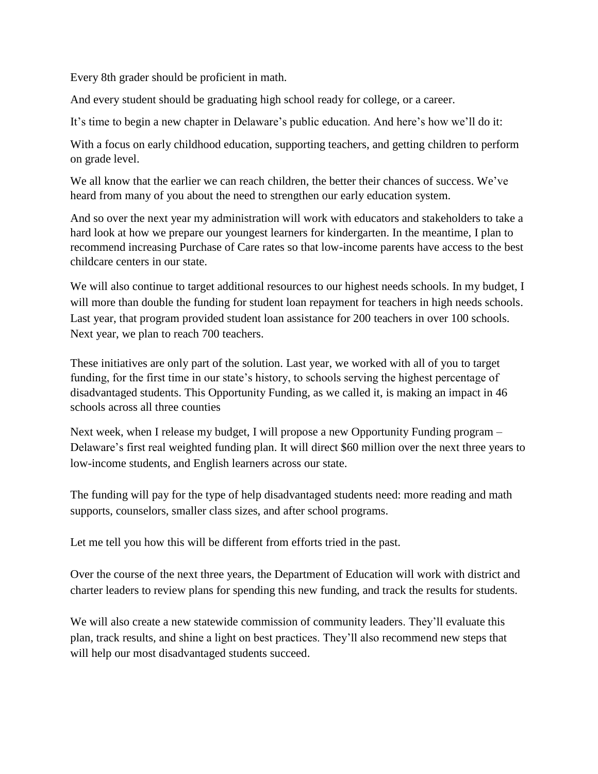Every 8th grader should be proficient in math.

And every student should be graduating high school ready for college, or a career.

It's time to begin a new chapter in Delaware's public education. And here's how we'll do it:

With a focus on early childhood education, supporting teachers, and getting children to perform on grade level.

We all know that the earlier we can reach children, the better their chances of success. We've heard from many of you about the need to strengthen our early education system.

And so over the next year my administration will work with educators and stakeholders to take a hard look at how we prepare our youngest learners for kindergarten. In the meantime, I plan to recommend increasing Purchase of Care rates so that low-income parents have access to the best childcare centers in our state.

We will also continue to target additional resources to our highest needs schools. In my budget, I will more than double the funding for student loan repayment for teachers in high needs schools. Last year, that program provided student loan assistance for 200 teachers in over 100 schools. Next year, we plan to reach 700 teachers.

These initiatives are only part of the solution. Last year, we worked with all of you to target funding, for the first time in our state's history, to schools serving the highest percentage of disadvantaged students. This Opportunity Funding, as we called it, is making an impact in 46 schools across all three counties

Next week, when I release my budget, I will propose a new Opportunity Funding program – Delaware's first real weighted funding plan. It will direct \$60 million over the next three years to low-income students, and English learners across our state.

The funding will pay for the type of help disadvantaged students need: more reading and math supports, counselors, smaller class sizes, and after school programs.

Let me tell you how this will be different from efforts tried in the past.

Over the course of the next three years, the Department of Education will work with district and charter leaders to review plans for spending this new funding, and track the results for students.

We will also create a new statewide commission of community leaders. They'll evaluate this plan, track results, and shine a light on best practices. They'll also recommend new steps that will help our most disadvantaged students succeed.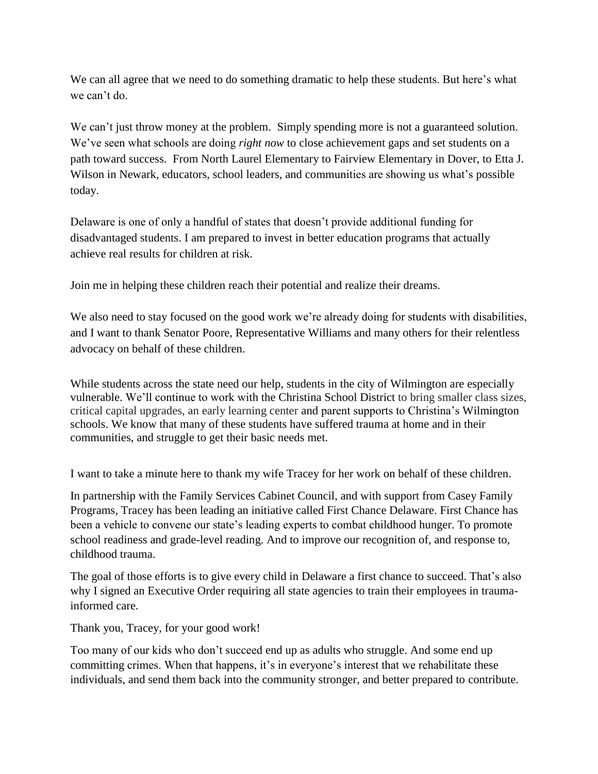We can all agree that we need to do something dramatic to help these students. But here's what we can't do.

We can't just throw money at the problem. Simply spending more is not a guaranteed solution. We've seen what schools are doing *right now* to close achievement gaps and set students on a path toward success. From North Laurel Elementary to Fairview Elementary in Dover, to Etta J. Wilson in Newark, educators, school leaders, and communities are showing us what's possible today.

Delaware is one of only a handful of states that doesn't provide additional funding for disadvantaged students. I am prepared to invest in better education programs that actually achieve real results for children at risk.

Join me in helping these children reach their potential and realize their dreams.

We also need to stay focused on the good work we're already doing for students with disabilities, and I want to thank Senator Poore, Representative Williams and many others for their relentless advocacy on behalf of these children.

While students across the state need our help, students in the city of Wilmington are especially vulnerable. We'll continue to work with the Christina School District to bring smaller class sizes, critical capital upgrades, an early learning center and parent supports to Christina's Wilmington schools. We know that many of these students have suffered trauma at home and in their communities, and struggle to get their basic needs met.

I want to take a minute here to thank my wife Tracey for her work on behalf of these children.

In partnership with the Family Services Cabinet Council, and with support from Casey Family Programs, Tracey has been leading an initiative called First Chance Delaware. First Chance has been a vehicle to convene our state's leading experts to combat childhood hunger. To promote school readiness and grade-level reading. And to improve our recognition of, and response to, childhood trauma.

The goal of those efforts is to give every child in Delaware a first chance to succeed. That's also why I signed an Executive Order requiring all state agencies to train their employees in traumainformed care.

Thank you, Tracey, for your good work!

Too many of our kids who don't succeed end up as adults who struggle. And some end up committing crimes. When that happens, it's in everyone's interest that we rehabilitate these individuals, and send them back into the community stronger, and better prepared to contribute.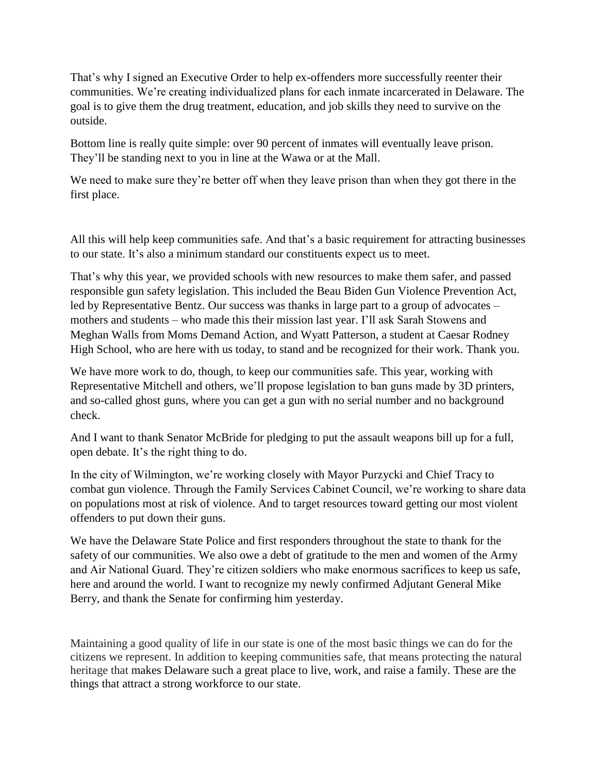That's why I signed an Executive Order to help ex-offenders more successfully reenter their communities. We're creating individualized plans for each inmate incarcerated in Delaware. The goal is to give them the drug treatment, education, and job skills they need to survive on the outside.

Bottom line is really quite simple: over 90 percent of inmates will eventually leave prison. They'll be standing next to you in line at the Wawa or at the Mall.

We need to make sure they're better off when they leave prison than when they got there in the first place.

All this will help keep communities safe. And that's a basic requirement for attracting businesses to our state. It's also a minimum standard our constituents expect us to meet.

That's why this year, we provided schools with new resources to make them safer, and passed responsible gun safety legislation. This included the Beau Biden Gun Violence Prevention Act, led by Representative Bentz. Our success was thanks in large part to a group of advocates – mothers and students – who made this their mission last year. I'll ask Sarah Stowens and Meghan Walls from Moms Demand Action, and Wyatt Patterson, a student at Caesar Rodney High School, who are here with us today, to stand and be recognized for their work. Thank you.

We have more work to do, though, to keep our communities safe. This year, working with Representative Mitchell and others, we'll propose legislation to ban guns made by 3D printers, and so-called ghost guns, where you can get a gun with no serial number and no background check.

And I want to thank Senator McBride for pledging to put the assault weapons bill up for a full, open debate. It's the right thing to do.

In the city of Wilmington, we're working closely with Mayor Purzycki and Chief Tracy to combat gun violence. Through the Family Services Cabinet Council, we're working to share data on populations most at risk of violence. And to target resources toward getting our most violent offenders to put down their guns.

We have the Delaware State Police and first responders throughout the state to thank for the safety of our communities. We also owe a debt of gratitude to the men and women of the Army and Air National Guard. They're citizen soldiers who make enormous sacrifices to keep us safe, here and around the world. I want to recognize my newly confirmed Adjutant General Mike Berry, and thank the Senate for confirming him yesterday.

Maintaining a good quality of life in our state is one of the most basic things we can do for the citizens we represent. In addition to keeping communities safe, that means protecting the natural heritage that makes Delaware such a great place to live, work, and raise a family. These are the things that attract a strong workforce to our state.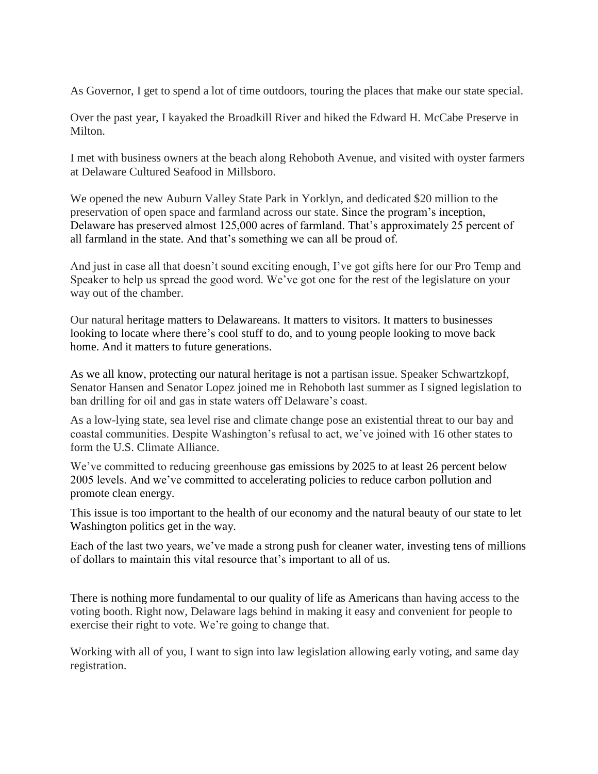As Governor, I get to spend a lot of time outdoors, touring the places that make our state special.

Over the past year, I kayaked the Broadkill River and hiked the Edward H. McCabe Preserve in Milton.

I met with business owners at the beach along Rehoboth Avenue, and visited with oyster farmers at Delaware Cultured Seafood in Millsboro.

We opened the new Auburn Valley State Park in Yorklyn, and dedicated \$20 million to the preservation of open space and farmland across our state. Since the program's inception, Delaware has preserved almost 125,000 acres of farmland. That's approximately 25 percent of all farmland in the state. And that's something we can all be proud of.

And just in case all that doesn't sound exciting enough, I've got gifts here for our Pro Temp and Speaker to help us spread the good word. We've got one for the rest of the legislature on your way out of the chamber.

Our natural heritage matters to Delawareans. It matters to visitors. It matters to businesses looking to locate where there's cool stuff to do, and to young people looking to move back home. And it matters to future generations.

As we all know, protecting our natural heritage is not a partisan issue. Speaker Schwartzkopf, Senator Hansen and Senator Lopez joined me in Rehoboth last summer as I signed legislation to ban drilling for oil and gas in state waters off Delaware's coast.

As a low-lying state, sea level rise and climate change pose an existential threat to our bay and coastal communities. Despite Washington's refusal to act, we've joined with 16 other states to form the U.S. Climate Alliance.

We've committed to reducing greenhouse gas emissions by 2025 to at least 26 percent below 2005 levels. And we've committed to accelerating policies to reduce carbon pollution and promote clean energy.

This issue is too important to the health of our economy and the natural beauty of our state to let Washington politics get in the way.

Each of the last two years, we've made a strong push for cleaner water, investing tens of millions of dollars to maintain this vital resource that's important to all of us.

There is nothing more fundamental to our quality of life as Americans than having access to the voting booth. Right now, Delaware lags behind in making it easy and convenient for people to exercise their right to vote. We're going to change that.

Working with all of you, I want to sign into law legislation allowing early voting, and same day registration.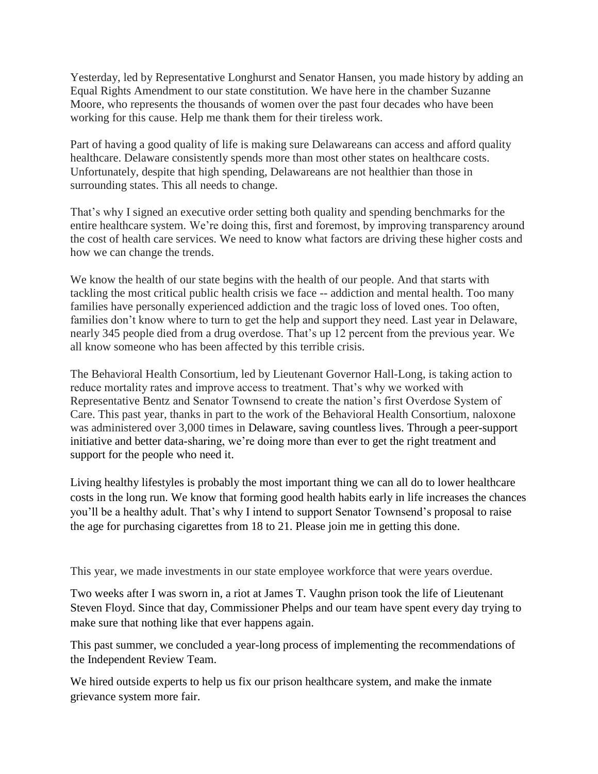Yesterday, led by Representative Longhurst and Senator Hansen, you made history by adding an Equal Rights Amendment to our state constitution. We have here in the chamber Suzanne Moore, who represents the thousands of women over the past four decades who have been working for this cause. Help me thank them for their tireless work.

Part of having a good quality of life is making sure Delawareans can access and afford quality healthcare. Delaware consistently spends more than most other states on healthcare costs. Unfortunately, despite that high spending, Delawareans are not healthier than those in surrounding states. This all needs to change.

That's why I signed an executive order setting both quality and spending benchmarks for the entire healthcare system. We're doing this, first and foremost, by improving transparency around the cost of health care services. We need to know what factors are driving these higher costs and how we can change the trends.

We know the health of our state begins with the health of our people. And that starts with tackling the most critical public health crisis we face -- addiction and mental health. Too many families have personally experienced addiction and the tragic loss of loved ones. Too often, families don't know where to turn to get the help and support they need. Last year in Delaware, nearly 345 people died from a drug overdose. That's up 12 percent from the previous year. We all know someone who has been affected by this terrible crisis.

The Behavioral Health Consortium, led by Lieutenant Governor Hall-Long, is taking action to reduce mortality rates and improve access to treatment. That's why we worked with Representative Bentz and Senator Townsend to create the nation's first Overdose System of Care. This past year, thanks in part to the work of the Behavioral Health Consortium, naloxone was administered over 3,000 times in Delaware, saving countless lives. Through a peer-support initiative and better data-sharing, we're doing more than ever to get the right treatment and support for the people who need it.

Living healthy lifestyles is probably the most important thing we can all do to lower healthcare costs in the long run. We know that forming good health habits early in life increases the chances you'll be a healthy adult. That's why I intend to support Senator Townsend's proposal to raise the age for purchasing cigarettes from 18 to 21. Please join me in getting this done.

This year, we made investments in our state employee workforce that were years overdue.

Two weeks after I was sworn in, a riot at James T. Vaughn prison took the life of Lieutenant Steven Floyd. Since that day, Commissioner Phelps and our team have spent every day trying to make sure that nothing like that ever happens again.

This past summer, we concluded a year-long process of implementing the recommendations of the Independent Review Team.

We hired outside experts to help us fix our prison healthcare system, and make the inmate grievance system more fair.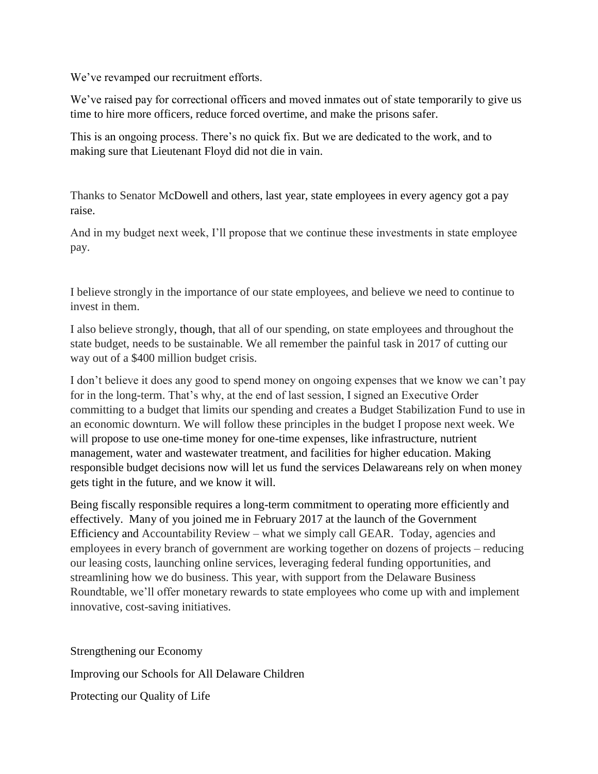We've revamped our recruitment efforts.

We've raised pay for correctional officers and moved inmates out of state temporarily to give us time to hire more officers, reduce forced overtime, and make the prisons safer.

This is an ongoing process. There's no quick fix. But we are dedicated to the work, and to making sure that Lieutenant Floyd did not die in vain.

Thanks to Senator McDowell and others, last year, state employees in every agency got a pay raise.

And in my budget next week, I'll propose that we continue these investments in state employee pay.

I believe strongly in the importance of our state employees, and believe we need to continue to invest in them.

I also believe strongly, though, that all of our spending, on state employees and throughout the state budget, needs to be sustainable. We all remember the painful task in 2017 of cutting our way out of a \$400 million budget crisis.

I don't believe it does any good to spend money on ongoing expenses that we know we can't pay for in the long-term. That's why, at the end of last session, I signed an Executive Order committing to a budget that limits our spending and creates a Budget Stabilization Fund to use in an economic downturn. We will follow these principles in the budget I propose next week. We will propose to use one-time money for one-time expenses, like infrastructure, nutrient management, water and wastewater treatment, and facilities for higher education. Making responsible budget decisions now will let us fund the services Delawareans rely on when money gets tight in the future, and we know it will.

Being fiscally responsible requires a long-term commitment to operating more efficiently and effectively. Many of you joined me in February 2017 at the launch of the Government Efficiency and Accountability Review – what we simply call GEAR. Today, agencies and employees in every branch of government are working together on dozens of projects – reducing our leasing costs, launching online services, leveraging federal funding opportunities, and streamlining how we do business. This year, with support from the Delaware Business Roundtable, we'll offer monetary rewards to state employees who come up with and implement innovative, cost-saving initiatives.

Strengthening our Economy

Improving our Schools for All Delaware Children

Protecting our Quality of Life